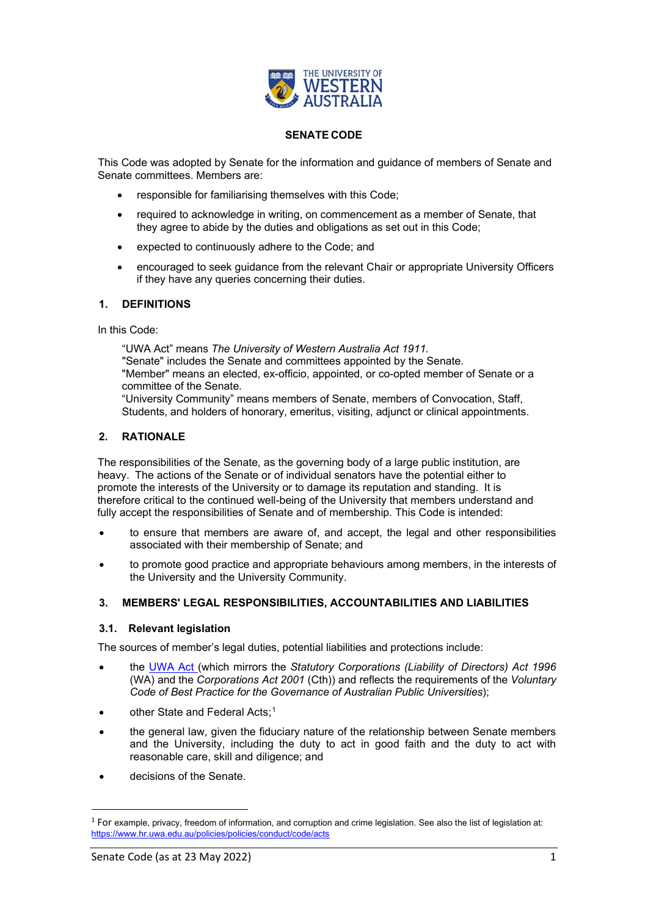

#### **SENATE CODE**

This Code was adopted by Senate for the information and guidance of members of Senate and Senate committees. Members are:

- responsible for familiarising themselves with this Code;
- required to acknowledge in writing, on commencement as a member of Senate, that they agree to abide by the duties and obligations as set out in this Code;
- expected to continuously adhere to the Code; and
- encouraged to seek guidance from the relevant Chair or appropriate University Officers if they have any queries concerning their duties.

# **1. DEFINITIONS**

In this Code:

"UWA Act" means *The University of Western Australia Act 1911.* "Senate" includes the Senate and committees appointed by the Senate. "Member" means an elected, ex-officio, appointed, or co-opted member of Senate or a committee of the Senate. "University Community" means members of Senate, members of Convocation, Staff,

Students, and holders of honorary, emeritus, visiting, adjunct or clinical appointments.

# **2. RATIONALE**

The responsibilities of the Senate, as the governing body of a large public institution, are heavy. The actions of the Senate or of individual senators have the potential either to promote the interests of the University or to damage its reputation and standing. It is therefore critical to the continued well-being of the University that members understand and fully accept the responsibilities of Senate and of membership. This Code is intended:

- to ensure that members are aware of, and accept, the legal and other responsibilities associated with their membership of Senate; and
- to promote good practice and appropriate behaviours among members, in the interests of the University and the University Community.

# **3. MEMBERS' LEGAL RESPONSIBILITIES, ACCOUNTABILITIES AND LIABILITIES**

# **3.1. Relevant legislation**

The sources of member's legal duties, potential liabilities and protections include:

- the [UWA Act](https://www.governance.uwa.edu.au/statutes/acts) (which mirrors the *Statutory Corporations (Liability of Directors) Act 1996* (WA) and the *Corporations Act 2001* (Cth)) and reflects the requirements of the *Voluntary Code of Best Practice for the Governance of Australian Public Universities*);
- other State and Federal Acts:<sup>1</sup>
- the general law, given the fiduciary nature of the relationship between Senate members and the University, including the duty to act in good faith and the duty to act with reasonable care, skill and diligence; and
- decisions of the Senate.

<span id="page-0-0"></span> $1$  For example, privacy, freedom of information, and corruption and crime legislation. See also the list of legislation at: <https://www.hr.uwa.edu.au/policies/policies/conduct/code/acts>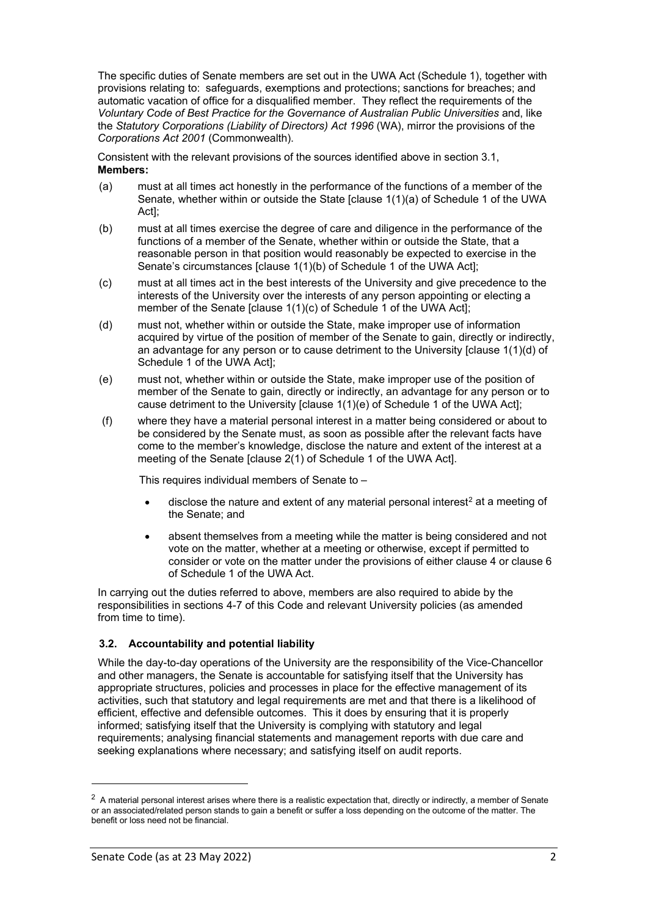The specific duties of Senate members are set out in the UWA Act (Schedule 1), together with provisions relating to: safeguards, exemptions and protections; sanctions for breaches; and automatic vacation of office for a disqualified member. They reflect the requirements of the *Voluntary Code of Best Practice for the Governance of Australian Public Universities* and, like the *Statutory Corporations (Liability of Directors) Act 1996* (WA), mirror the provisions of the *Corporations Act 2001* (Commonwealth).

Consistent with the relevant provisions of the sources identified above in section 3.1, **Members:** 

- (a) must at all times act honestly in the performance of the functions of a member of the Senate, whether within or outside the State [clause 1(1)(a) of Schedule 1 of the UWA Act];
- (b) must at all times exercise the degree of care and diligence in the performance of the functions of a member of the Senate, whether within or outside the State, that a reasonable person in that position would reasonably be expected to exercise in the Senate's circumstances [clause 1(1)(b) of Schedule 1 of the UWA Act];
- (c) must at all times act in the best interests of the University and give precedence to the interests of the University over the interests of any person appointing or electing a member of the Senate [clause 1(1)(c) of Schedule 1 of the UWA Act]:
- (d) must not, whether within or outside the State, make improper use of information acquired by virtue of the position of member of the Senate to gain, directly or indirectly, an advantage for any person or to cause detriment to the University [clause 1(1)(d) of Schedule 1 of the UWA Act];
- (e) must not, whether within or outside the State, make improper use of the position of member of the Senate to gain, directly or indirectly, an advantage for any person or to cause detriment to the University [clause 1(1)(e) of Schedule 1 of the UWA Act];
- (f) where they have a material personal interest in a matter being considered or about to be considered by the Senate must, as soon as possible after the relevant facts have come to the member's knowledge, disclose the nature and extent of the interest at a meeting of the Senate [clause 2(1) of Schedule 1 of the UWA Act].

This requires individual members of Senate to –

- disclose the nature and extent of any material personal interest<sup>[2](#page-1-0)</sup> at a meeting of the Senate; and
- absent themselves from a meeting while the matter is being considered and not vote on the matter, whether at a meeting or otherwise, except if permitted to consider or vote on the matter under the provisions of either clause 4 or clause 6 of Schedule 1 of the UWA Act.

In carrying out the duties referred to above, members are also required to abide by the responsibilities in sections 4-7 of this Code and relevant University policies (as amended from time to time).

# **3.2. Accountability and potential liability**

While the day-to-day operations of the University are the responsibility of the Vice-Chancellor and other managers, the Senate is accountable for satisfying itself that the University has appropriate structures, policies and processes in place for the effective management of its activities, such that statutory and legal requirements are met and that there is a likelihood of efficient, effective and defensible outcomes. This it does by ensuring that it is properly informed; satisfying itself that the University is complying with statutory and legal requirements; analysing financial statements and management reports with due care and seeking explanations where necessary; and satisfying itself on audit reports.

<span id="page-1-0"></span> $2$  A material personal interest arises where there is a realistic expectation that, directly or indirectly, a member of Senate or an associated/related person stands to gain a benefit or suffer a loss depending on the outcome of the matter. The benefit or loss need not be financial.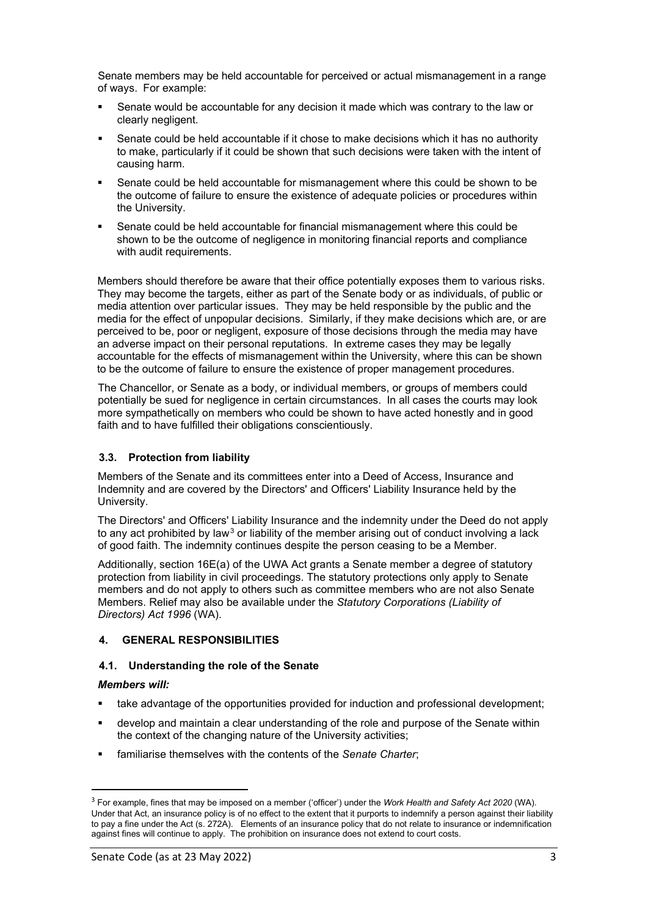Senate members may be held accountable for perceived or actual mismanagement in a range of ways. For example:

- Senate would be accountable for any decision it made which was contrary to the law or clearly negligent.
- Senate could be held accountable if it chose to make decisions which it has no authority to make, particularly if it could be shown that such decisions were taken with the intent of causing harm.
- Senate could be held accountable for mismanagement where this could be shown to be the outcome of failure to ensure the existence of adequate policies or procedures within the University.
- Senate could be held accountable for financial mismanagement where this could be shown to be the outcome of negligence in monitoring financial reports and compliance with audit requirements.

Members should therefore be aware that their office potentially exposes them to various risks. They may become the targets, either as part of the Senate body or as individuals, of public or media attention over particular issues. They may be held responsible by the public and the media for the effect of unpopular decisions. Similarly, if they make decisions which are, or are perceived to be, poor or negligent, exposure of those decisions through the media may have an adverse impact on their personal reputations. In extreme cases they may be legally accountable for the effects of mismanagement within the University, where this can be shown to be the outcome of failure to ensure the existence of proper management procedures.

The Chancellor, or Senate as a body, or individual members, or groups of members could potentially be sued for negligence in certain circumstances. In all cases the courts may look more sympathetically on members who could be shown to have acted honestly and in good faith and to have fulfilled their obligations conscientiously.

# **3.3. Protection from liability**

Members of the Senate and its committees enter into a Deed of Access, Insurance and Indemnity and are covered by the Directors' and Officers' Liability Insurance held by the University.

The Directors' and Officers' Liability Insurance and the indemnity under the Deed do not apply to any act prohibited by law<sup>[3](#page-2-0)</sup> or liability of the member arising out of conduct involving a lack of good faith. The indemnity continues despite the person ceasing to be a Member.

Additionally, section 16E(a) of the UWA Act grants a Senate member a degree of statutory protection from liability in civil proceedings. The statutory protections only apply to Senate members and do not apply to others such as committee members who are not also Senate Members. Relief may also be available under the *Statutory Corporations (Liability of Directors) Act 1996* (WA).

# **4. GENERAL RESPONSIBILITIES**

# **4.1. Understanding the role of the Senate**

# *Members will:*

- take advantage of the opportunities provided for induction and professional development;
- develop and maintain a clear understanding of the role and purpose of the Senate within the context of the changing nature of the University activities;
- familiarise themselves with the contents of the *Senate Charter*;

<span id="page-2-0"></span><sup>3</sup> For example, fines that may be imposed on a member ('officer') under the *Work Health and Safety Act 2020* (WA). Under that Act, an insurance policy is of no effect to the extent that it purports to indemnify a person against their liability to pay a fine under the Act (s. 272A). Elements of an insurance policy that do not relate to insurance or indemnification against fines will continue to apply. The prohibition on insurance does not extend to court costs.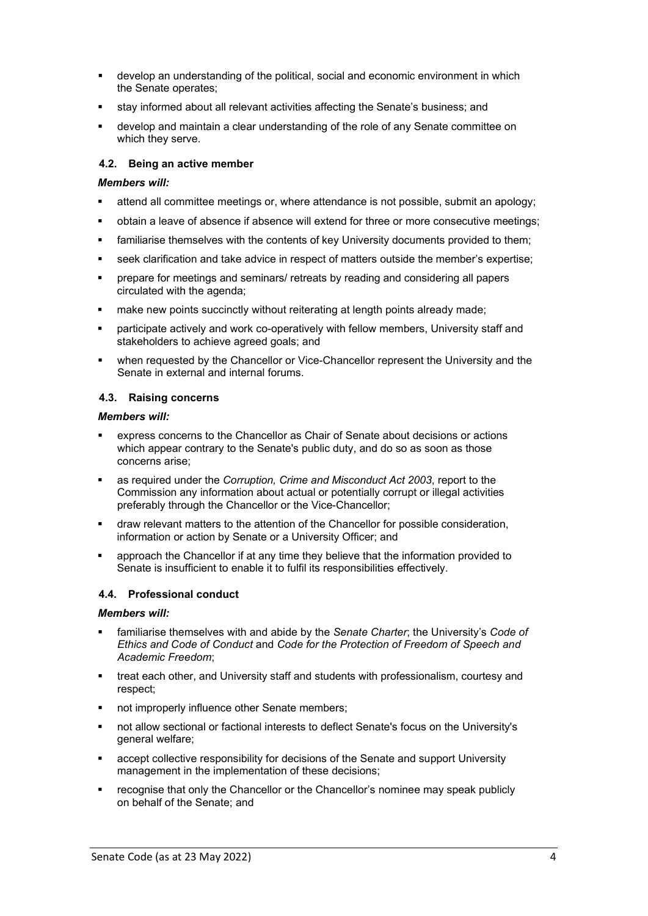- develop an understanding of the political, social and economic environment in which the Senate operates;
- stay informed about all relevant activities affecting the Senate's business; and
- develop and maintain a clear understanding of the role of any Senate committee on which they serve.

# **4.2. Being an active member**

### *Members will:*

- attend all committee meetings or, where attendance is not possible, submit an apology;
- obtain a leave of absence if absence will extend for three or more consecutive meetings;
- familiarise themselves with the contents of key University documents provided to them;
- seek clarification and take advice in respect of matters outside the member's expertise;
- prepare for meetings and seminars/ retreats by reading and considering all papers circulated with the agenda;
- **EXED FIGHT Make new points succinctly without reiterating at length points already made;**
- participate actively and work co-operatively with fellow members, University staff and stakeholders to achieve agreed goals; and
- when requested by the Chancellor or Vice-Chancellor represent the University and the Senate in external and internal forums.

# **4.3. Raising concerns**

#### *Members will:*

- express concerns to the Chancellor as Chair of Senate about decisions or actions which appear contrary to the Senate's public duty, and do so as soon as those concerns arise;
- as required under the *Corruption, Crime and Misconduct Act 2003*, report to the Commission any information about actual or potentially corrupt or illegal activities preferably through the Chancellor or the Vice-Chancellor;
- draw relevant matters to the attention of the Chancellor for possible consideration, information or action by Senate or a University Officer; and
- approach the Chancellor if at any time they believe that the information provided to Senate is insufficient to enable it to fulfil its responsibilities effectively.

# **4.4. Professional conduct**

#### *Members will:*

- familiarise themselves with and abide by the *Senate Charter*; the University's *Code of Ethics and Code of Conduct* and *Code for the Protection of Freedom of Speech and Academic Freedom*;
- treat each other, and University staff and students with professionalism, courtesy and respect;
- not improperly influence other Senate members;
- not allow sectional or factional interests to deflect Senate's focus on the University's general welfare;
- accept collective responsibility for decisions of the Senate and support University management in the implementation of these decisions;
- recognise that only the Chancellor or the Chancellor's nominee may speak publicly on behalf of the Senate; and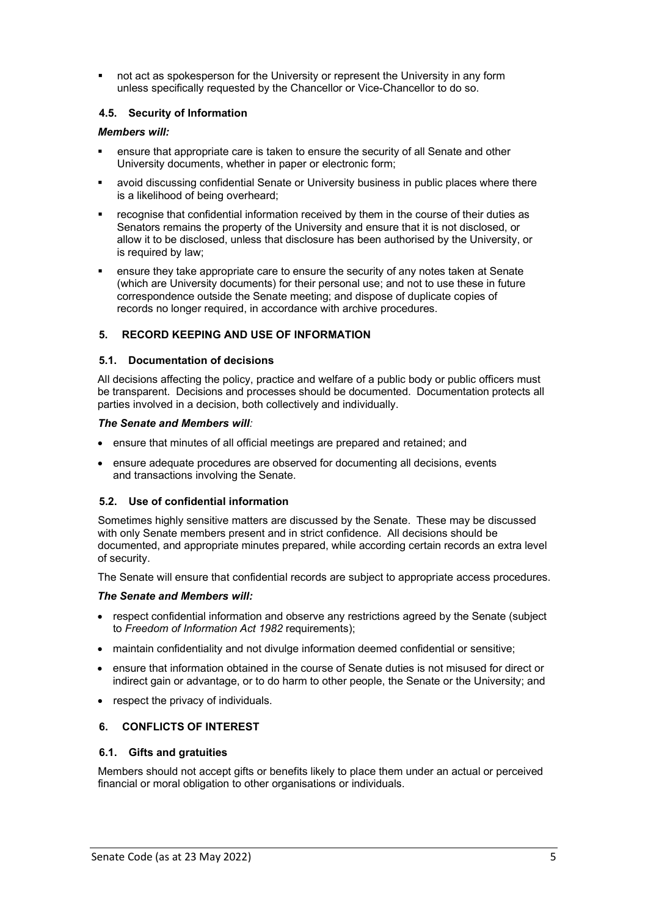not act as spokesperson for the University or represent the University in any form unless specifically requested by the Chancellor or Vice-Chancellor to do so.

# **4.5. Security of Information**

# *Members will:*

- ensure that appropriate care is taken to ensure the security of all Senate and other University documents, whether in paper or electronic form;
- avoid discussing confidential Senate or University business in public places where there is a likelihood of being overheard;
- recognise that confidential information received by them in the course of their duties as Senators remains the property of the University and ensure that it is not disclosed, or allow it to be disclosed, unless that disclosure has been authorised by the University, or is required by law;
- ensure they take appropriate care to ensure the security of any notes taken at Senate (which are University documents) for their personal use; and not to use these in future correspondence outside the Senate meeting; and dispose of duplicate copies of records no longer required, in accordance with archive procedures.

# **5. RECORD KEEPING AND USE OF INFORMATION**

# **5.1. Documentation of decisions**

All decisions affecting the policy, practice and welfare of a public body or public officers must be transparent. Decisions and processes should be documented. Documentation protects all parties involved in a decision, both collectively and individually.

#### *The Senate and Members will:*

- ensure that minutes of all official meetings are prepared and retained; and
- ensure adequate procedures are observed for documenting all decisions, events and transactions involving the Senate.

# **5.2. Use of confidential information**

Sometimes highly sensitive matters are discussed by the Senate. These may be discussed with only Senate members present and in strict confidence. All decisions should be documented, and appropriate minutes prepared, while according certain records an extra level of security.

The Senate will ensure that confidential records are subject to appropriate access procedures.

# *The Senate and Members will:*

- respect confidential information and observe any restrictions agreed by the Senate (subject to *Freedom of Information Act 1982* requirements);
- maintain confidentiality and not divulge information deemed confidential or sensitive;
- ensure that information obtained in the course of Senate duties is not misused for direct or indirect gain or advantage, or to do harm to other people, the Senate or the University; and
- respect the privacy of individuals.

# **6. CONFLICTS OF INTEREST**

# **6.1. Gifts and gratuities**

Members should not accept gifts or benefits likely to place them under an actual or perceived financial or moral obligation to other organisations or individuals.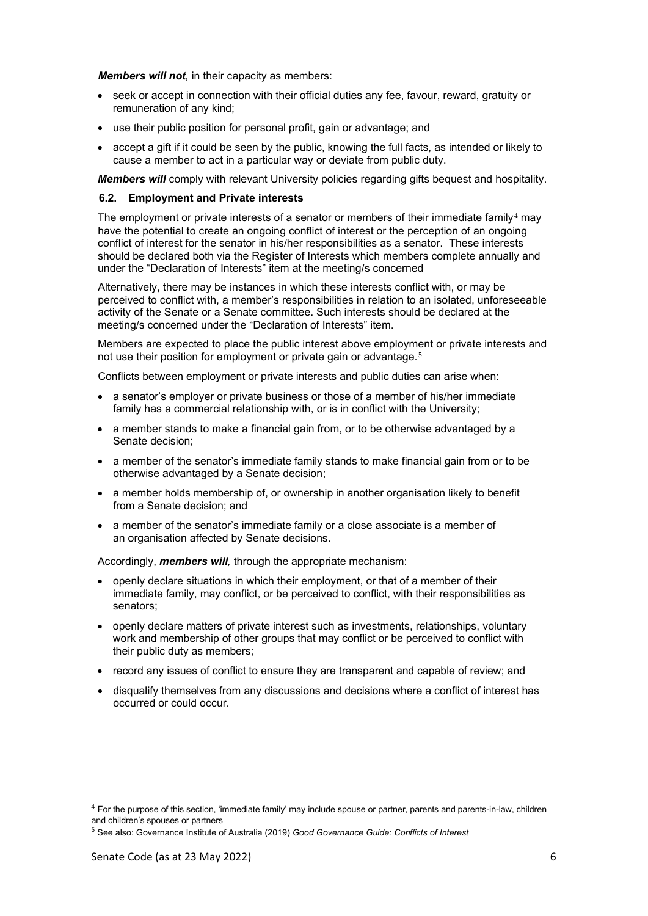*Members will not,* in their capacity as members:

- seek or accept in connection with their official duties any fee, favour, reward, gratuity or remuneration of any kind;
- use their public position for personal profit, gain or advantage; and
- accept a gift if it could be seen by the public, knowing the full facts, as intended or likely to cause a member to act in a particular way or deviate from public duty.

*Members will* comply with relevant University policies regarding gifts bequest and hospitality.

### **6.2. Employment and Private interests**

The employment or private interests of a senator or members of their immediate family<sup>[4](#page-5-0)</sup> may have the potential to create an ongoing conflict of interest or the perception of an ongoing conflict of interest for the senator in his/her responsibilities as a senator. These interests should be declared both via the Register of Interests which members complete annually and under the "Declaration of Interests" item at the meeting/s concerned

Alternatively, there may be instances in which these interests conflict with, or may be perceived to conflict with, a member's responsibilities in relation to an isolated, unforeseeable activity of the Senate or a Senate committee. Such interests should be declared at the meeting/s concerned under the "Declaration of Interests" item.

Members are expected to place the public interest above employment or private interests and not use their position for employment or private gain or advantage.<sup>[5](#page-5-1)</sup>

Conflicts between employment or private interests and public duties can arise when:

- a senator's employer or private business or those of a member of his/her immediate family has a commercial relationship with, or is in conflict with the University;
- a member stands to make a financial gain from, or to be otherwise advantaged by a Senate decision;
- a member of the senator's immediate family stands to make financial gain from or to be otherwise advantaged by a Senate decision;
- a member holds membership of, or ownership in another organisation likely to benefit from a Senate decision; and
- a member of the senator's immediate family or a close associate is a member of an organisation affected by Senate decisions.

Accordingly, *members will,* through the appropriate mechanism:

- openly declare situations in which their employment, or that of a member of their immediate family, may conflict, or be perceived to conflict, with their responsibilities as senators;
- openly declare matters of private interest such as investments, relationships, voluntary work and membership of other groups that may conflict or be perceived to conflict with their public duty as members;
- record any issues of conflict to ensure they are transparent and capable of review; and
- disqualify themselves from any discussions and decisions where a conflict of interest has occurred or could occur.

<span id="page-5-0"></span><sup>4</sup> For the purpose of this section, 'immediate family' may include spouse or partner, parents and parents-in-law, children and children's spouses or partners

<span id="page-5-1"></span><sup>5</sup> See also: Governance Institute of Australia (2019) *Good Governance Guide: Conflicts of Interest*